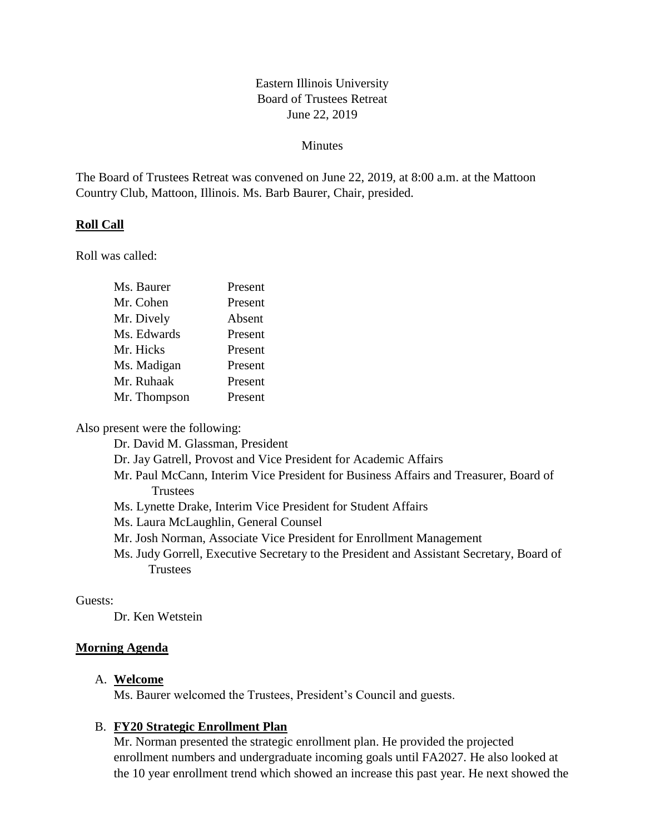# Eastern Illinois University Board of Trustees Retreat June 22, 2019

### Minutes

The Board of Trustees Retreat was convened on June 22, 2019, at 8:00 a.m. at the Mattoon Country Club, Mattoon, Illinois. Ms. Barb Baurer, Chair, presided.

### **Roll Call**

Roll was called:

| Ms. Baurer   | Present |
|--------------|---------|
| Mr. Cohen    | Present |
| Mr. Dively   | Absent  |
| Ms. Edwards  | Present |
| Mr. Hicks    | Present |
| Ms. Madigan  | Present |
| Mr. Ruhaak   | Present |
| Mr. Thompson | Present |
|              |         |

Also present were the following:

Dr. David M. Glassman, President

Dr. Jay Gatrell, Provost and Vice President for Academic Affairs

Mr. Paul McCann, Interim Vice President for Business Affairs and Treasurer, Board of Trustees

Ms. Lynette Drake, Interim Vice President for Student Affairs

Ms. Laura McLaughlin, General Counsel

Mr. Josh Norman, Associate Vice President for Enrollment Management

Ms. Judy Gorrell, Executive Secretary to the President and Assistant Secretary, Board of **Trustees** 

#### Guests:

Dr. Ken Wetstein

### **Morning Agenda**

#### A. **Welcome**

Ms. Baurer welcomed the Trustees, President's Council and guests.

#### B. **FY20 Strategic Enrollment Plan**

Mr. Norman presented the strategic enrollment plan. He provided the projected enrollment numbers and undergraduate incoming goals until FA2027. He also looked at the 10 year enrollment trend which showed an increase this past year. He next showed the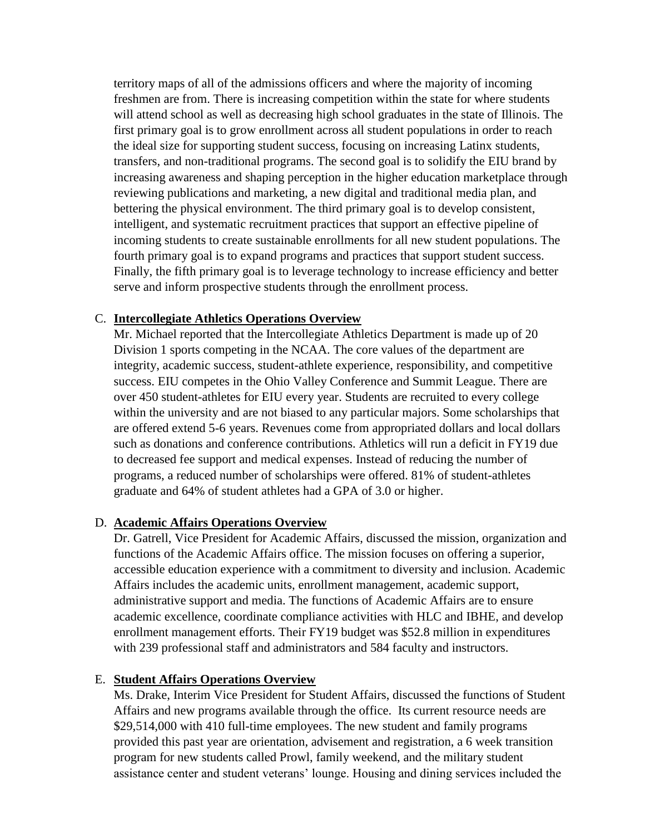territory maps of all of the admissions officers and where the majority of incoming freshmen are from. There is increasing competition within the state for where students will attend school as well as decreasing high school graduates in the state of Illinois. The first primary goal is to grow enrollment across all student populations in order to reach the ideal size for supporting student success, focusing on increasing Latinx students, transfers, and non-traditional programs. The second goal is to solidify the EIU brand by increasing awareness and shaping perception in the higher education marketplace through reviewing publications and marketing, a new digital and traditional media plan, and bettering the physical environment. The third primary goal is to develop consistent, intelligent, and systematic recruitment practices that support an effective pipeline of incoming students to create sustainable enrollments for all new student populations. The fourth primary goal is to expand programs and practices that support student success. Finally, the fifth primary goal is to leverage technology to increase efficiency and better serve and inform prospective students through the enrollment process.

### C. **Intercollegiate Athletics Operations Overview**

Mr. Michael reported that the Intercollegiate Athletics Department is made up of 20 Division 1 sports competing in the NCAA. The core values of the department are integrity, academic success, student-athlete experience, responsibility, and competitive success. EIU competes in the Ohio Valley Conference and Summit League. There are over 450 student-athletes for EIU every year. Students are recruited to every college within the university and are not biased to any particular majors. Some scholarships that are offered extend 5-6 years. Revenues come from appropriated dollars and local dollars such as donations and conference contributions. Athletics will run a deficit in FY19 due to decreased fee support and medical expenses. Instead of reducing the number of programs, a reduced number of scholarships were offered. 81% of student-athletes graduate and 64% of student athletes had a GPA of 3.0 or higher.

#### D. **Academic Affairs Operations Overview**

Dr. Gatrell, Vice President for Academic Affairs, discussed the mission, organization and functions of the Academic Affairs office. The mission focuses on offering a superior, accessible education experience with a commitment to diversity and inclusion. Academic Affairs includes the academic units, enrollment management, academic support, administrative support and media. The functions of Academic Affairs are to ensure academic excellence, coordinate compliance activities with HLC and IBHE, and develop enrollment management efforts. Their FY19 budget was \$52.8 million in expenditures with 239 professional staff and administrators and 584 faculty and instructors.

#### E. **Student Affairs Operations Overview**

Ms. Drake, Interim Vice President for Student Affairs, discussed the functions of Student Affairs and new programs available through the office. Its current resource needs are \$29,514,000 with 410 full-time employees. The new student and family programs provided this past year are orientation, advisement and registration, a 6 week transition program for new students called Prowl, family weekend, and the military student assistance center and student veterans' lounge. Housing and dining services included the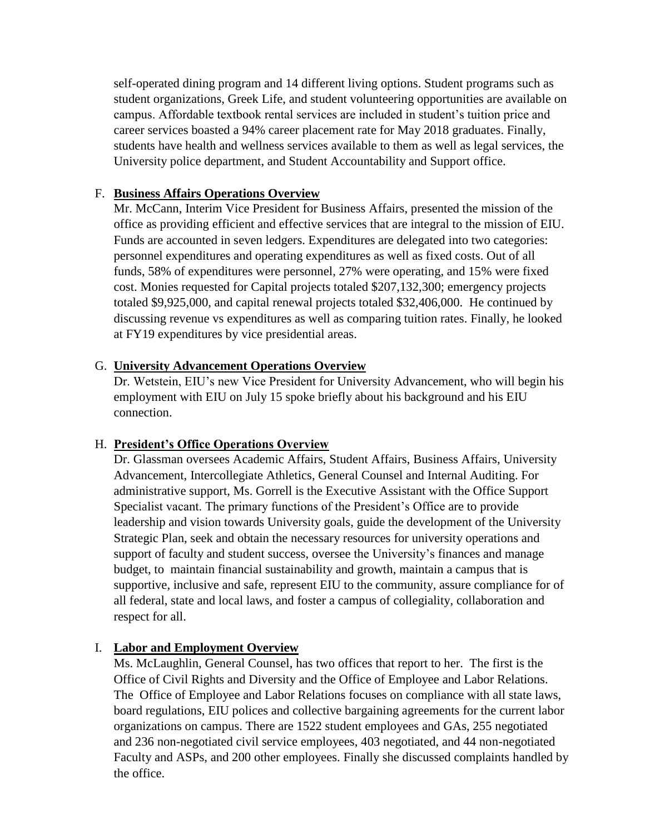self-operated dining program and 14 different living options. Student programs such as student organizations, Greek Life, and student volunteering opportunities are available on campus. Affordable textbook rental services are included in student's tuition price and career services boasted a 94% career placement rate for May 2018 graduates. Finally, students have health and wellness services available to them as well as legal services, the University police department, and Student Accountability and Support office.

# F. **Business Affairs Operations Overview**

Mr. McCann, Interim Vice President for Business Affairs, presented the mission of the office as providing efficient and effective services that are integral to the mission of EIU. Funds are accounted in seven ledgers. Expenditures are delegated into two categories: personnel expenditures and operating expenditures as well as fixed costs. Out of all funds, 58% of expenditures were personnel, 27% were operating, and 15% were fixed cost. Monies requested for Capital projects totaled \$207,132,300; emergency projects totaled \$9,925,000, and capital renewal projects totaled \$32,406,000. He continued by discussing revenue vs expenditures as well as comparing tuition rates. Finally, he looked at FY19 expenditures by vice presidential areas.

# G. **University Advancement Operations Overview**

Dr. Wetstein, EIU's new Vice President for University Advancement, who will begin his employment with EIU on July 15 spoke briefly about his background and his EIU connection.

# H. **President's Office Operations Overview**

Dr. Glassman oversees Academic Affairs, Student Affairs, Business Affairs, University Advancement, Intercollegiate Athletics, General Counsel and Internal Auditing. For administrative support, Ms. Gorrell is the Executive Assistant with the Office Support Specialist vacant. The primary functions of the President's Office are to provide leadership and vision towards University goals, guide the development of the University Strategic Plan, seek and obtain the necessary resources for university operations and support of faculty and student success, oversee the University's finances and manage budget, to maintain financial sustainability and growth, maintain a campus that is supportive, inclusive and safe, represent EIU to the community, assure compliance for of all federal, state and local laws, and foster a campus of collegiality, collaboration and respect for all.

# I. **Labor and Employment Overview**

Ms. McLaughlin, General Counsel, has two offices that report to her. The first is the Office of Civil Rights and Diversity and the Office of Employee and Labor Relations. The Office of Employee and Labor Relations focuses on compliance with all state laws, board regulations, EIU polices and collective bargaining agreements for the current labor organizations on campus. There are 1522 student employees and GAs, 255 negotiated and 236 non-negotiated civil service employees, 403 negotiated, and 44 non-negotiated Faculty and ASPs, and 200 other employees. Finally she discussed complaints handled by the office.